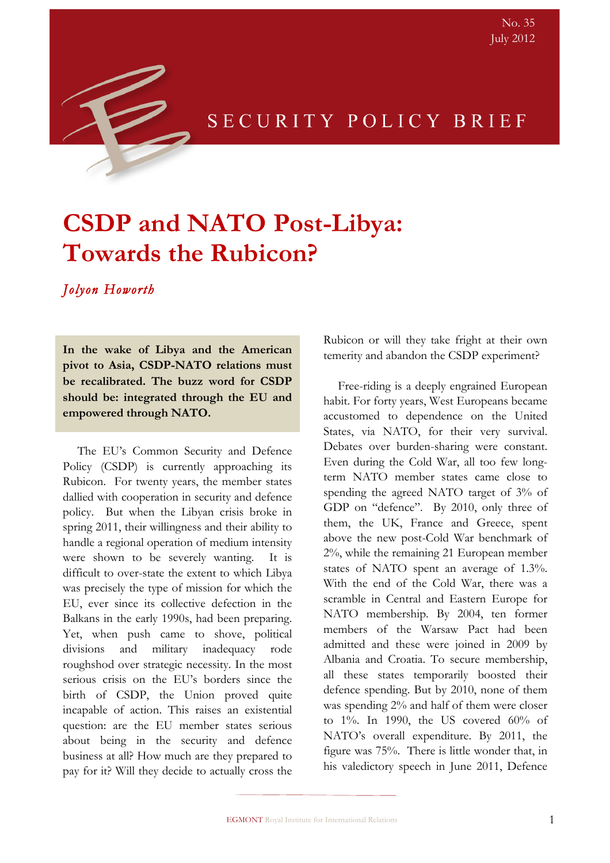

### SECURITY POLICY BRIEF

# **CSDP and NATO Post-Libya: Towards the Rubicon?**

### *Jolyon Howorth*

**In the wake of Libya and the American pivot to Asia, CSDP-NATO relations must be recalibrated. The buzz word for CSDP should be: integrated through the EU and empowered through NATO.**

The EU's Common Security and Defence Policy (CSDP) is currently approaching its Rubicon. For twenty years, the member states dallied with cooperation in security and defence policy. But when the Libyan crisis broke in spring 2011, their willingness and their ability to handle a regional operation of medium intensity were shown to be severely wanting. It is difficult to over-state the extent to which Libya was precisely the type of mission for which the EU, ever since its collective defection in the Balkans in the early 1990s, had been preparing. Yet, when push came to shove, political divisions and military inadequacy rode roughshod over strategic necessity. In the most serious crisis on the EU's borders since the birth of CSDP, the Union proved quite incapable of action. This raises an existential question: are the EU member states serious about being in the security and defence business at all? How much are they prepared to pay for it? Will they decide to actually cross the

Rubicon or will they take fright at their own temerity and abandon the CSDP experiment?

Free-riding is a deeply engrained European habit. For forty years, West Europeans became accustomed to dependence on the United States, via NATO, for their very survival. Debates over burden-sharing were constant. Even during the Cold War, all too few longterm NATO member states came close to spending the agreed NATO target of 3% of GDP on "defence". By 2010, only three of them, the UK, France and Greece, spent above the new post-Cold War benchmark of 2%, while the remaining 21 European member states of NATO spent an average of 1.3%. With the end of the Cold War, there was a scramble in Central and Eastern Europe for NATO membership. By 2004, ten former members of the Warsaw Pact had been admitted and these were joined in 2009 by Albania and Croatia. To secure membership, all these states temporarily boosted their defence spending. But by 2010, none of them was spending 2% and half of them were closer to 1%. In 1990, the US covered 60% of NATO's overall expenditure. By 2011, the figure was 75%. There is little wonder that, in his valedictory speech in June 2011, Defence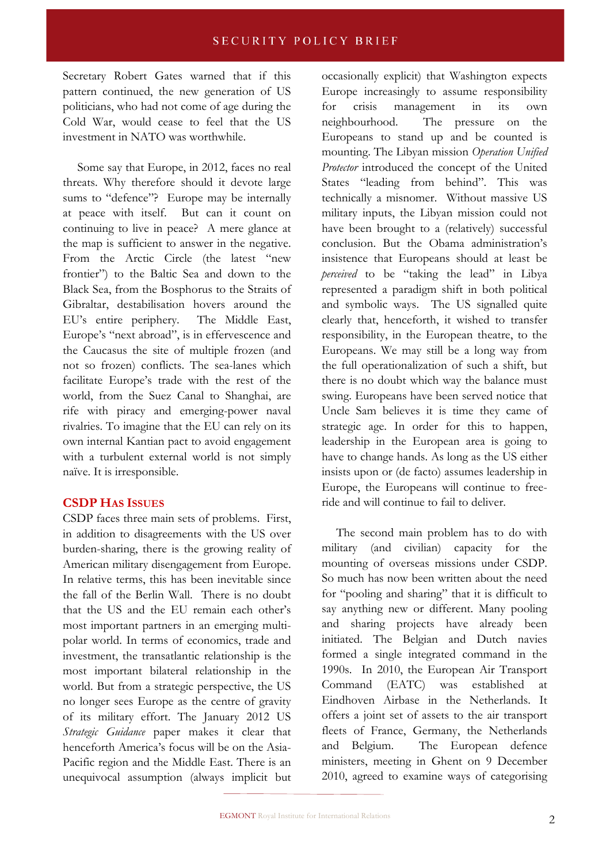Secretary Robert Gates warned that if this pattern continued, the new generation of US politicians, who had not come of age during the Cold War, would cease to feel that the US investment in NATO was worthwhile.

Some say that Europe, in 2012, faces no real threats. Why therefore should it devote large sums to "defence"? Europe may be internally at peace with itself. But can it count on continuing to live in peace? A mere glance at the map is sufficient to answer in the negative. From the Arctic Circle (the latest "new frontier") to the Baltic Sea and down to the Black Sea, from the Bosphorus to the Straits of Gibraltar, destabilisation hovers around the EU's entire periphery. The Middle East, Europe's "next abroad", is in effervescence and the Caucasus the site of multiple frozen (and not so frozen) conflicts. The sea-lanes which facilitate Europe's trade with the rest of the world, from the Suez Canal to Shanghai, are rife with piracy and emerging-power naval rivalries. To imagine that the EU can rely on its own internal Kantian pact to avoid engagement with a turbulent external world is not simply naïve. It is irresponsible.

### **CSDP HAS ISSUES**

CSDP faces three main sets of problems. First, in addition to disagreements with the US over burden-sharing, there is the growing reality of American military disengagement from Europe. In relative terms, this has been inevitable since the fall of the Berlin Wall. There is no doubt that the US and the EU remain each other's most important partners in an emerging multipolar world. In terms of economics, trade and investment, the transatlantic relationship is the most important bilateral relationship in the world. But from a strategic perspective, the US no longer sees Europe as the centre of gravity of its military effort. The January 2012 US *Strategic Guidance* paper makes it clear that henceforth America's focus will be on the Asia-Pacific region and the Middle East. There is an unequivocal assumption (always implicit but

occasionally explicit) that Washington expects Europe increasingly to assume responsibility for crisis management in its own neighbourhood. The pressure on the Europeans to stand up and be counted is mounting. The Libyan mission *Operation Unified Protector* introduced the concept of the United States "leading from behind". This was technically a misnomer. Without massive US military inputs, the Libyan mission could not have been brought to a (relatively) successful conclusion. But the Obama administration's insistence that Europeans should at least be *perceived* to be "taking the lead" in Libya represented a paradigm shift in both political and symbolic ways. The US signalled quite clearly that, henceforth, it wished to transfer responsibility, in the European theatre, to the Europeans. We may still be a long way from the full operationalization of such a shift, but there is no doubt which way the balance must swing. Europeans have been served notice that Uncle Sam believes it is time they came of strategic age. In order for this to happen, leadership in the European area is going to have to change hands. As long as the US either insists upon or (de facto) assumes leadership in Europe, the Europeans will continue to freeride and will continue to fail to deliver.

The second main problem has to do with military (and civilian) capacity for the mounting of overseas missions under CSDP. So much has now been written about the need for "pooling and sharing" that it is difficult to say anything new or different. Many pooling and sharing projects have already been initiated. The Belgian and Dutch navies formed a single integrated command in the 1990s. In 2010, the European Air Transport Command (EATC) was established at Eindhoven Airbase in the Netherlands. It offers a joint set of assets to the air transport fleets of France, Germany, the Netherlands and Belgium. The European defence ministers, meeting in Ghent on 9 December 2010, agreed to examine ways of categorising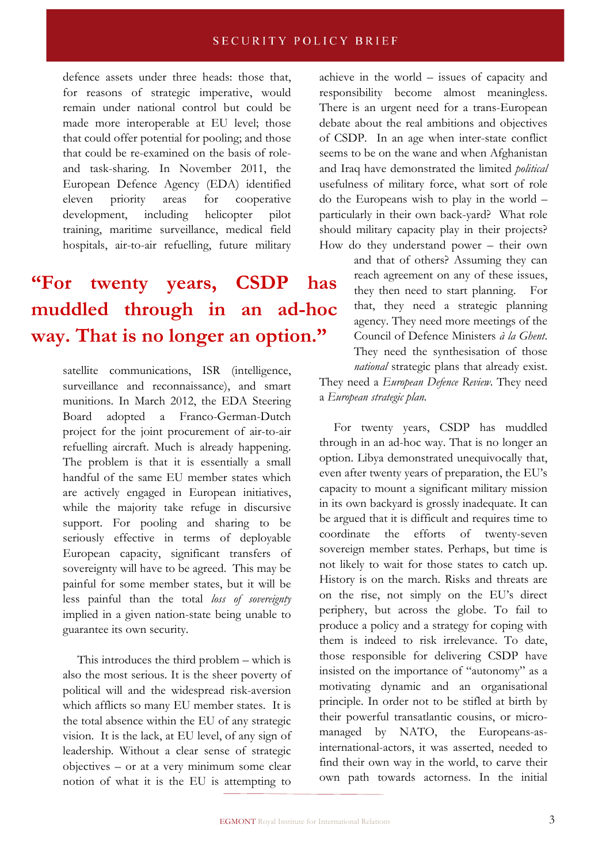defence assets under three heads: those that, for reasons of strategic imperative, would remain under national control but could be made more interoperable at EU level; those that could offer potential for pooling; and those that could be re-examined on the basis of roleand task-sharing. In November 2011, the European Defence Agency (EDA) identified eleven priority areas for cooperative development, including helicopter pilot training, maritime surveillance, medical field hospitals, air-to-air refuelling, future military

## **"For twenty years, CSDP has muddled through in an ad-hoc way. That is no longer an option."**

satellite communications, ISR (intelligence, surveillance and reconnaissance), and smart munitions. In March 2012, the EDA Steering Board adopted a Franco-German-Dutch project for the joint procurement of air-to-air refuelling aircraft. Much is already happening. The problem is that it is essentially a small handful of the same EU member states which are actively engaged in European initiatives, while the majority take refuge in discursive support. For pooling and sharing to be seriously effective in terms of deployable European capacity, significant transfers of sovereignty will have to be agreed. This may be painful for some member states, but it will be less painful than the total *loss of sovereignty*  implied in a given nation-state being unable to guarantee its own security.

This introduces the third problem – which is also the most serious. It is the sheer poverty of political will and the widespread risk-aversion which afflicts so many EU member states. It is the total absence within the EU of any strategic vision. It is the lack, at EU level, of any sign of leadership. Without a clear sense of strategic objectives – or at a very minimum some clear notion of what it is the EU is attempting to achieve in the world – issues of capacity and responsibility become almost meaningless. There is an urgent need for a trans-European debate about the real ambitions and objectives of CSDP. In an age when inter-state conflict seems to be on the wane and when Afghanistan and Iraq have demonstrated the limited *political* usefulness of military force, what sort of role do the Europeans wish to play in the world – particularly in their own back-yard? What role should military capacity play in their projects? How do they understand power – their own

and that of others? Assuming they can reach agreement on any of these issues, they then need to start planning. For that, they need a strategic planning agency. They need more meetings of the Council of Defence Ministers *à la Ghent*. They need the synthesisation of those *national* strategic plans that already exist. They need a *European Defence Review*. They need a *European strategic plan.*

For twenty years, CSDP has muddled through in an ad-hoc way. That is no longer an option. Libya demonstrated unequivocally that, even after twenty years of preparation, the EU's capacity to mount a significant military mission in its own backyard is grossly inadequate. It can be argued that it is difficult and requires time to coordinate the efforts of twenty-seven sovereign member states. Perhaps, but time is not likely to wait for those states to catch up. History is on the march. Risks and threats are on the rise, not simply on the EU's direct periphery, but across the globe. To fail to produce a policy and a strategy for coping with them is indeed to risk irrelevance. To date, those responsible for delivering CSDP have insisted on the importance of "autonomy" as a motivating dynamic and an organisational principle. In order not to be stifled at birth by their powerful transatlantic cousins, or micromanaged by NATO, the Europeans-asinternational-actors, it was asserted, needed to find their own way in the world, to carve their own path towards actorness. In the initial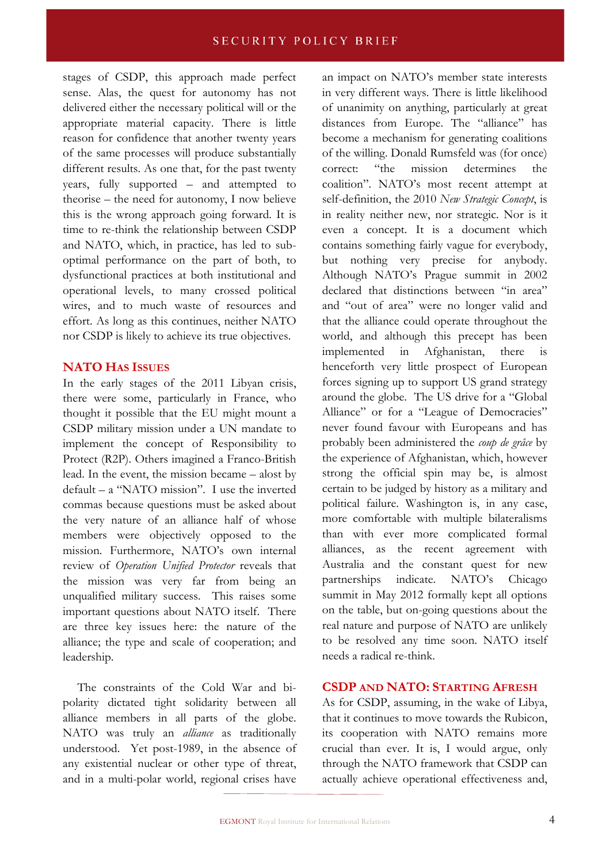stages of CSDP, this approach made perfect sense. Alas, the quest for autonomy has not delivered either the necessary political will or the appropriate material capacity. There is little reason for confidence that another twenty years of the same processes will produce substantially different results. As one that, for the past twenty years, fully supported – and attempted to theorise – the need for autonomy, I now believe this is the wrong approach going forward. It is time to re-think the relationship between CSDP and NATO, which, in practice, has led to suboptimal performance on the part of both, to dysfunctional practices at both institutional and operational levels, to many crossed political wires, and to much waste of resources and effort. As long as this continues, neither NATO nor CSDP is likely to achieve its true objectives.

### **NATO HAS ISSUES**

In the early stages of the 2011 Libyan crisis, there were some, particularly in France, who thought it possible that the EU might mount a CSDP military mission under a UN mandate to implement the concept of Responsibility to Protect (R2P). Others imagined a Franco-British lead. In the event, the mission became – alost by default – a "NATO mission". I use the inverted commas because questions must be asked about the very nature of an alliance half of whose members were objectively opposed to the mission. Furthermore, NATO's own internal review of *Operation Unified Protector* reveals that the mission was very far from being an unqualified military success. This raises some important questions about NATO itself. There are three key issues here: the nature of the alliance; the type and scale of cooperation; and leadership.

The constraints of the Cold War and bipolarity dictated tight solidarity between all alliance members in all parts of the globe. NATO was truly an *alliance* as traditionally understood. Yet post-1989, in the absence of any existential nuclear or other type of threat, and in a multi-polar world, regional crises have

an impact on NATO's member state interests in very different ways. There is little likelihood of unanimity on anything, particularly at great distances from Europe. The "alliance" has become a mechanism for generating coalitions of the willing. Donald Rumsfeld was (for once) correct: "the mission determines the coalition". NATO's most recent attempt at self-definition, the 2010 *New Strategic Concept*, is in reality neither new, nor strategic. Nor is it even a concept. It is a document which contains something fairly vague for everybody, but nothing very precise for anybody. Although NATO's Prague summit in 2002 declared that distinctions between "in area" and "out of area" were no longer valid and that the alliance could operate throughout the world, and although this precept has been implemented in Afghanistan, there is henceforth very little prospect of European forces signing up to support US grand strategy around the globe. The US drive for a "Global Alliance" or for a "League of Democracies" never found favour with Europeans and has probably been administered the *coup de grâce* by the experience of Afghanistan, which, however strong the official spin may be, is almost certain to be judged by history as a military and political failure. Washington is, in any case, more comfortable with multiple bilateralisms than with ever more complicated formal alliances, as the recent agreement with Australia and the constant quest for new partnerships indicate. NATO's Chicago summit in May 2012 formally kept all options on the table, but on-going questions about the real nature and purpose of NATO are unlikely to be resolved any time soon. NATO itself needs a radical re-think.

### **CSDP AND NATO: STARTING AFRESH**

As for CSDP, assuming, in the wake of Libya, that it continues to move towards the Rubicon, its cooperation with NATO remains more crucial than ever. It is, I would argue, only through the NATO framework that CSDP can actually achieve operational effectiveness and,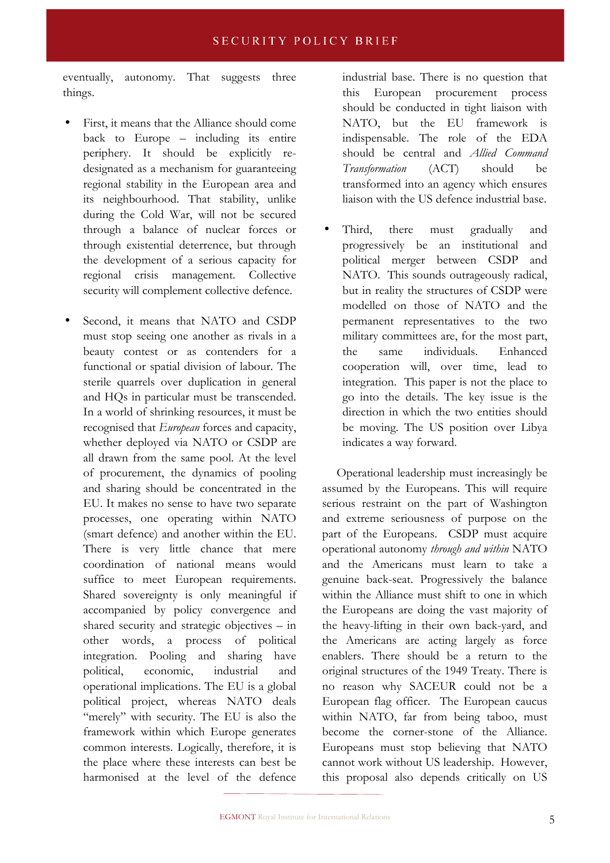eventually, autonomy. That suggests three things.

- First, it means that the Alliance should come back to Europe – including its entire periphery. It should be explicitly redesignated as a mechanism for guaranteeing regional stability in the European area and its neighbourhood. That stability, unlike during the Cold War, will not be secured through a balance of nuclear forces or through existential deterrence, but through the development of a serious capacity for regional crisis management. Collective security will complement collective defence.
- Second, it means that NATO and CSDP must stop seeing one another as rivals in a beauty contest or as contenders for a functional or spatial division of labour. The sterile quarrels over duplication in general and HQs in particular must be transcended. In a world of shrinking resources, it must be recognised that *European* forces and capacity, whether deployed via NATO or CSDP are all drawn from the same pool. At the level of procurement, the dynamics of pooling and sharing should be concentrated in the EU. It makes no sense to have two separate processes, one operating within NATO (smart defence) and another within the EU. There is very little chance that mere coordination of national means would suffice to meet European requirements. Shared sovereignty is only meaningful if accompanied by policy convergence and shared security and strategic objectives – in other words, a process of political integration. Pooling and sharing have political, economic, industrial and operational implications. The EU is a global political project, whereas NATO deals "merely" with security. The EU is also the framework within which Europe generates common interests. Logically, therefore, it is the place where these interests can best be harmonised at the level of the defence

industrial base. There is no question that this European procurement process should be conducted in tight liaison with NATO, but the EU framework is indispensable. The role of the EDA should be central and *Allied Command Transformation* (ACT) should be transformed into an agency which ensures liaison with the US defence industrial base.

Third, there must gradually and progressively be an institutional and political merger between CSDP and NATO. This sounds outrageously radical, but in reality the structures of CSDP were modelled on those of NATO and the permanent representatives to the two military committees are, for the most part, the same individuals. Enhanced cooperation will, over time, lead to integration. This paper is not the place to go into the details. The key issue is the direction in which the two entities should be moving. The US position over Libya indicates a way forward.

Operational leadership must increasingly be assumed by the Europeans. This will require serious restraint on the part of Washington and extreme seriousness of purpose on the part of the Europeans. CSDP must acquire operational autonomy *through and within* NATO and the Americans must learn to take a genuine back-seat. Progressively the balance within the Alliance must shift to one in which the Europeans are doing the vast majority of the heavy-lifting in their own back-yard, and the Americans are acting largely as force enablers. There should be a return to the original structures of the 1949 Treaty. There is no reason why SACEUR could not be a European flag officer. The European caucus within NATO, far from being taboo, must become the corner-stone of the Alliance. Europeans must stop believing that NATO cannot work without US leadership. However, this proposal also depends critically on US